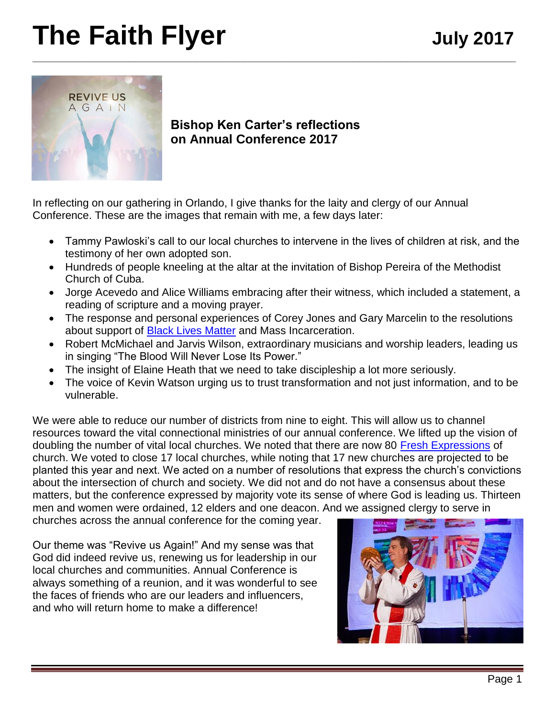# **The Faith Flyer** July 2017 **\_\_\_\_\_\_\_\_\_\_\_\_\_\_\_\_\_\_\_\_\_\_\_\_\_\_\_\_\_\_\_\_\_\_\_\_\_\_\_\_\_\_\_\_\_\_\_\_\_\_\_\_\_\_\_\_\_\_\_\_\_\_\_\_\_\_\_\_\_\_\_\_\_\_\_\_\_\_\_\_**



**Bishop Ken Carter's reflections on Annual Conference 2017**

In reflecting on our gathering in Orlando, I give thanks for the laity and clergy of our Annual Conference. These are the images that remain with me, a few days later:

- Tammy Pawloski's call to our local churches to intervene in the lives of children at risk, and the testimony of her own adopted son.
- Hundreds of people kneeling at the altar at the invitation of Bishop Pereira of the Methodist Church of Cuba.
- Jorge Acevedo and Alice Williams embracing after their witness, which included a statement, a reading of scripture and a moving prayer.
- The response and personal experiences of Corey Jones and Gary Marcelin to the resolutions about support of [Black Lives Matter](http://www.flumc.org/newsdetail/from-civil-rights-to-black-lives-matter-a-community-discussion-with-bishop-carter-slated-for-jan-11-in-lakeland-7214188) and Mass Incarceration.
- Robert McMichael and Jarvis Wilson, extraordinary musicians and worship leaders, leading us in singing "The Blood Will Never Lose Its Power."
- The insight of Elaine Heath that we need to take discipleship a lot more seriously.
- The voice of Kevin Watson urging us to trust transformation and not just information, and to be vulnerable.

We were able to reduce our number of districts from nine to eight. This will allow us to channel resources toward the vital connectional ministries of our annual conference. We lifted up the vision of doubling the number of vital local churches. We noted that there are now 80 [Fresh Expressions](https://www.freshexpressionsfl.org/) of church. We voted to close 17 local churches, while noting that 17 new churches are projected to be planted this year and next. We acted on a number of resolutions that express the church's convictions about the intersection of church and society. We did not and do not have a consensus about these matters, but the conference expressed by majority vote its sense of where God is leading us. Thirteen men and women were ordained, 12 elders and one deacon. And we assigned clergy to serve in

churches across the annual conference for the coming year.

Our theme was "Revive us Again!" And my sense was that God did indeed revive us, renewing us for leadership in our local churches and communities. Annual Conference is always something of a reunion, and it was wonderful to see the faces of friends who are our leaders and influencers, and who will return home to make a difference!

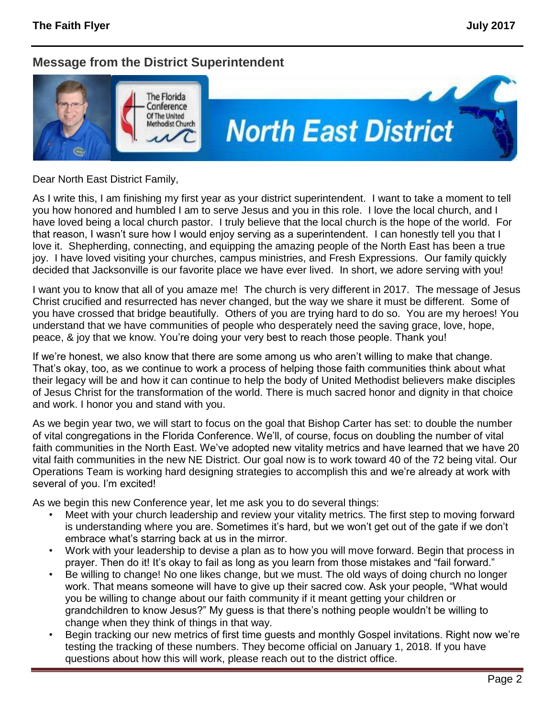### **Message from the District Superintendent**



Dear North East District Family,

As I write this, I am finishing my first year as your district superintendent. I want to take a moment to tell you how honored and humbled I am to serve Jesus and you in this role. I love the local church, and I have loved being a local church pastor. I truly believe that the local church is the hope of the world. For that reason, I wasn't sure how I would enjoy serving as a superintendent. I can honestly tell you that I love it. Shepherding, connecting, and equipping the amazing people of the North East has been a true joy. I have loved visiting your churches, campus ministries, and Fresh Expressions. Our family quickly decided that Jacksonville is our favorite place we have ever lived. In short, we adore serving with you!

I want you to know that all of you amaze me! The church is very different in 2017. The message of Jesus Christ crucified and resurrected has never changed, but the way we share it must be different. Some of you have crossed that bridge beautifully. Others of you are trying hard to do so. You are my heroes! You understand that we have communities of people who desperately need the saving grace, love, hope, peace, & joy that we know. You're doing your very best to reach those people. Thank you!

If we're honest, we also know that there are some among us who aren't willing to make that change. That's okay, too, as we continue to work a process of helping those faith communities think about what their legacy will be and how it can continue to help the body of United Methodist believers make disciples of Jesus Christ for the transformation of the world. There is much sacred honor and dignity in that choice and work. I honor you and stand with you.

As we begin year two, we will start to focus on the goal that Bishop Carter has set: to double the number of vital congregations in the Florida Conference. We'll, of course, focus on doubling the number of vital faith communities in the North East. We've adopted new vitality metrics and have learned that we have 20 vital faith communities in the new NE District. Our goal now is to work toward 40 of the 72 being vital. Our Operations Team is working hard designing strategies to accomplish this and we're already at work with several of you. I'm excited!

As we begin this new Conference year, let me ask you to do several things:

- Meet with your church leadership and review your vitality metrics. The first step to moving forward is understanding where you are. Sometimes it's hard, but we won't get out of the gate if we don't embrace what's starring back at us in the mirror.
- Work with your leadership to devise a plan as to how you will move forward. Begin that process in prayer. Then do it! It's okay to fail as long as you learn from those mistakes and "fail forward."
- Be willing to change! No one likes change, but we must. The old ways of doing church no longer work. That means someone will have to give up their sacred cow. Ask your people, "What would you be willing to change about our faith community if it meant getting your children or grandchildren to know Jesus?" My guess is that there's nothing people wouldn't be willing to change when they think of things in that way.
- Begin tracking our new metrics of first time guests and monthly Gospel invitations. Right now we're testing the tracking of these numbers. They become official on January 1, 2018. If you have questions about how this will work, please reach out to the district office.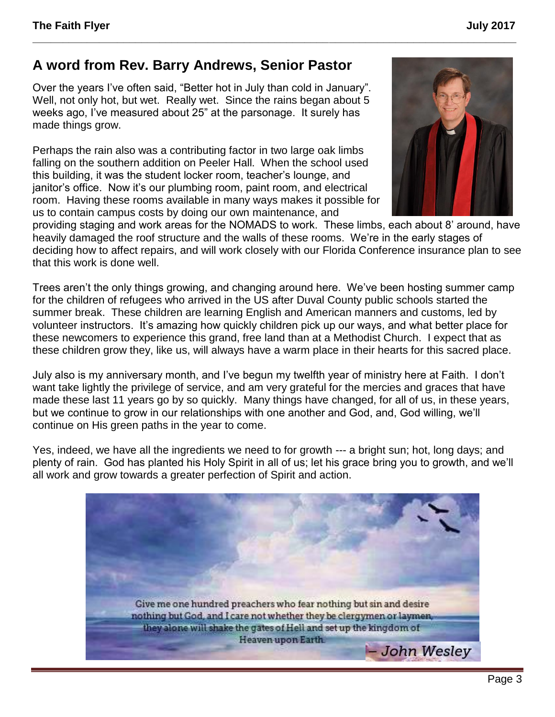## **A word from Rev. Barry Andrews, Senior Pastor**

Over the years I've often said, "Better hot in July than cold in January". Well, not only hot, but wet. Really wet. Since the rains began about 5 weeks ago, I've measured about 25" at the parsonage. It surely has made things grow.

Perhaps the rain also was a contributing factor in two large oak limbs falling on the southern addition on Peeler Hall. When the school used this building, it was the student locker room, teacher's lounge, and janitor's office. Now it's our plumbing room, paint room, and electrical room. Having these rooms available in many ways makes it possible for us to contain campus costs by doing our own maintenance, and



providing staging and work areas for the NOMADS to work. These limbs, each about 8' around, have heavily damaged the roof structure and the walls of these rooms. We're in the early stages of deciding how to affect repairs, and will work closely with our Florida Conference insurance plan to see that this work is done well.

**\_\_\_\_\_\_\_\_\_\_\_\_\_\_\_\_\_\_\_\_\_\_\_\_\_\_\_\_\_\_\_\_\_\_\_\_\_\_\_\_\_\_\_\_\_\_\_\_\_\_\_\_\_\_\_\_\_\_\_\_\_\_\_\_\_\_\_\_\_\_\_\_\_\_\_\_\_\_\_\_**

Trees aren't the only things growing, and changing around here. We've been hosting summer camp for the children of refugees who arrived in the US after Duval County public schools started the summer break. These children are learning English and American manners and customs, led by volunteer instructors. It's amazing how quickly children pick up our ways, and what better place for these newcomers to experience this grand, free land than at a Methodist Church. I expect that as these children grow they, like us, will always have a warm place in their hearts for this sacred place.

July also is my anniversary month, and I've begun my twelfth year of ministry here at Faith. I don't want take lightly the privilege of service, and am very grateful for the mercies and graces that have made these last 11 years go by so quickly. Many things have changed, for all of us, in these years, but we continue to grow in our relationships with one another and God, and, God willing, we'll continue on His green paths in the year to come.

Yes, indeed, we have all the ingredients we need to for growth --- a bright sun; hot, long days; and plenty of rain. God has planted his Holy Spirit in all of us; let his grace bring you to growth, and we'll all work and grow towards a greater perfection of Spirit and action.

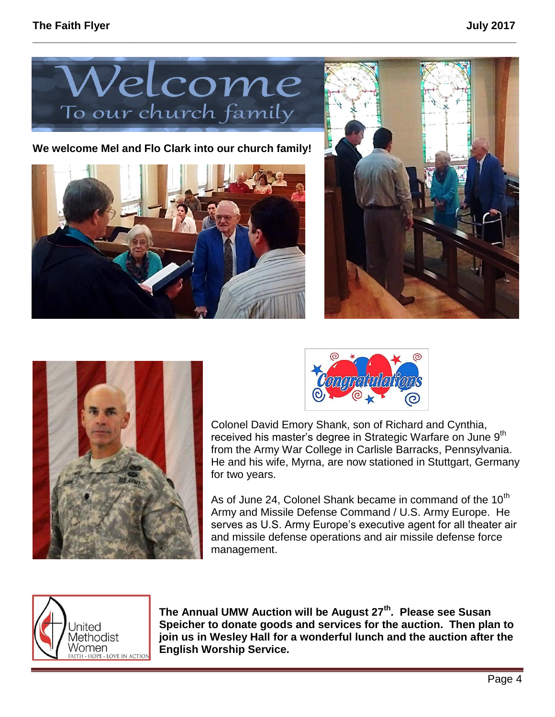

**\_\_\_\_\_\_\_\_\_\_\_\_\_\_\_\_\_\_\_\_\_\_\_\_\_\_\_\_\_\_\_\_\_\_\_\_\_\_\_\_\_\_\_\_\_\_\_\_\_\_\_\_\_\_\_\_\_\_\_\_\_\_\_\_\_\_\_\_\_\_\_\_\_\_\_\_\_\_\_\_**

**We welcome Mel and Flo Clark into our church family!**









Colonel David Emory Shank, son of Richard and Cynthia, received his master's degree in Strategic Warfare on June 9<sup>th</sup> from the Army War College in Carlisle Barracks, Pennsylvania. He and his wife, Myrna, are now stationed in Stuttgart, Germany for two years.

As of June 24, Colonel Shank became in command of the  $10<sup>th</sup>$ Army and Missile Defense Command / U.S. Army Europe. He serves as U.S. Army Europe's executive agent for all theater air and missile defense operations and air missile defense force management.



**The Annual UMW Auction will be August 27th . Please see Susan Speicher to donate goods and services for the auction. Then plan to join us in Wesley Hall for a wonderful lunch and the auction after the English Worship Service.**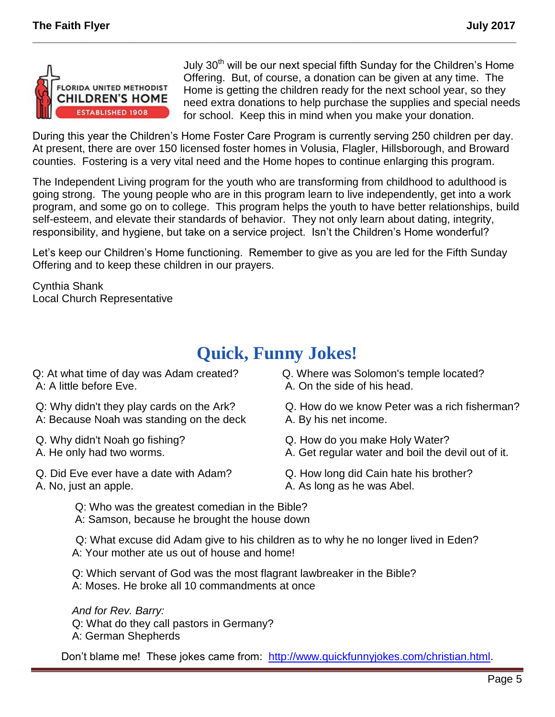

July  $30<sup>th</sup>$  will be our next special fifth Sunday for the Children's Home Offering. But, of course, a donation can be given at any time. The Home is getting the children ready for the next school year, so they need extra donations to help purchase the supplies and special needs for school. Keep this in mind when you make your donation.

During this year the Children's Home Foster Care Program is currently serving 250 children per day. At present, there are over 150 licensed foster homes in Volusia, Flagler, Hillsborough, and Broward counties. Fostering is a very vital need and the Home hopes to continue enlarging this program.

**\_\_\_\_\_\_\_\_\_\_\_\_\_\_\_\_\_\_\_\_\_\_\_\_\_\_\_\_\_\_\_\_\_\_\_\_\_\_\_\_\_\_\_\_\_\_\_\_\_\_\_\_\_\_\_\_\_\_\_\_\_\_\_\_\_\_\_\_\_\_\_\_\_\_\_\_\_\_\_\_**

The Independent Living program for the youth who are transforming from childhood to adulthood is going strong. The young people who are in this program learn to live independently, get into a work program, and some go on to college. This program helps the youth to have better relationships, build self-esteem, and elevate their standards of behavior. They not only learn about dating, integrity, responsibility, and hygiene, but take on a service project. Isn't the Children's Home wonderful?

Let's keep our Children's Home functioning. Remember to give as you are led for the Fifth Sunday Offering and to keep these children in our prayers.

Cynthia Shank Local Church Representative

# **[Quick, Funny Jokes!](http://www.quickfunnyjokes.com/index.html)**

- Q: At what time of day was Adam created? A: A little before Eve.
- Q: Why didn't they play cards on the Ark? A: Because Noah was standing on the deck
- Q. Why didn't Noah go fishing?
- A. He only had two worms.
- Q. Did Eve ever have a date with Adam? A. No, just an apple.
- Q. Where was Solomon's temple located? A. On the side of his head.
- Q. How do we know Peter was a rich fisherman? A. By his net income.
- Q. How do you make Holy Water?
- A. Get regular water and boil the devil out of it.
- Q. How long did Cain hate his brother? A. As long as he was Abel.
- Q: Who was the greatest comedian in the Bible? A: Samson, because he brought the house down

Q: What excuse did Adam give to his children as to why he no longer lived in Eden? A: Your mother ate us out of house and home!

 Q: Which servant of God was the most flagrant lawbreaker in the Bible? A: Moses. He broke all 10 commandments at once

 *And for Rev. Barry:* Q: What do they call pastors in Germany? A: German Shepherds

Don't blame me! These jokes came from: [http://www.quickfunnyjokes.com/christian.html.](http://www.quickfunnyjokes.com/christian.html)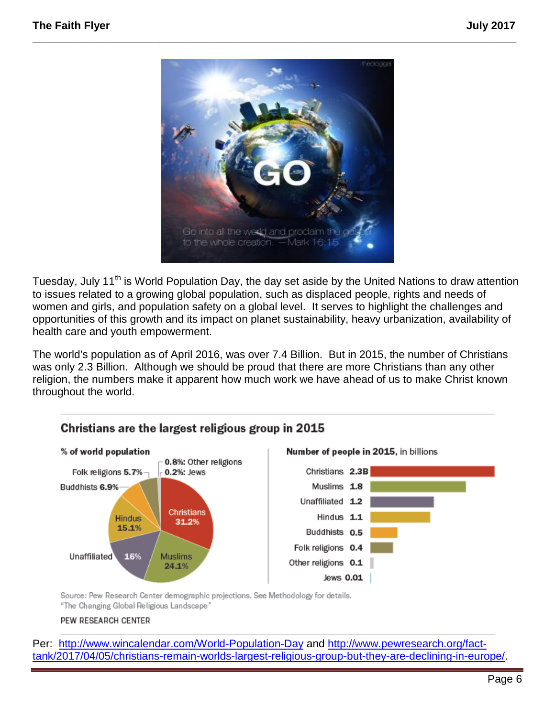

**\_\_\_\_\_\_\_\_\_\_\_\_\_\_\_\_\_\_\_\_\_\_\_\_\_\_\_\_\_\_\_\_\_\_\_\_\_\_\_\_\_\_\_\_\_\_\_\_\_\_\_\_\_\_\_\_\_\_\_\_\_\_\_\_\_\_\_\_\_\_\_\_\_\_\_\_\_\_\_\_**

Tuesday, July 11<sup>th</sup> is World Population Day, the day set aside by the United Nations to draw attention to issues related to a growing global population, such as displaced people, rights and needs of women and girls, and population safety on a global level. It serves to highlight the challenges and opportunities of this growth and its impact on planet sustainability, heavy urbanization, availability of health care and youth empowerment.

The world's population as of April 2016, was over 7.4 Billion. But in 2015, the number of Christians was only 2.3 Billion. Although we should be proud that there are more Christians than any other religion, the numbers make it apparent how much work we have ahead of us to make Christ known throughout the world.



Source: Pew Research Center demographic projections. See Methodology for details. "The Changing Global Religious Landscape"

#### PEW RESEARCH CENTER

Per: <http://www.wincalendar.com/World-Population-Day> and [http://www.pewresearch.org/fact](http://www.pewresearch.org/fact-tank/2017/04/05/christians-remain-worlds-largest-religious-group-but-they-are-declining-in-europe/)[tank/2017/04/05/christians-remain-worlds-largest-religious-group-but-they-are-declining-in-europe/.](http://www.pewresearch.org/fact-tank/2017/04/05/christians-remain-worlds-largest-religious-group-but-they-are-declining-in-europe/)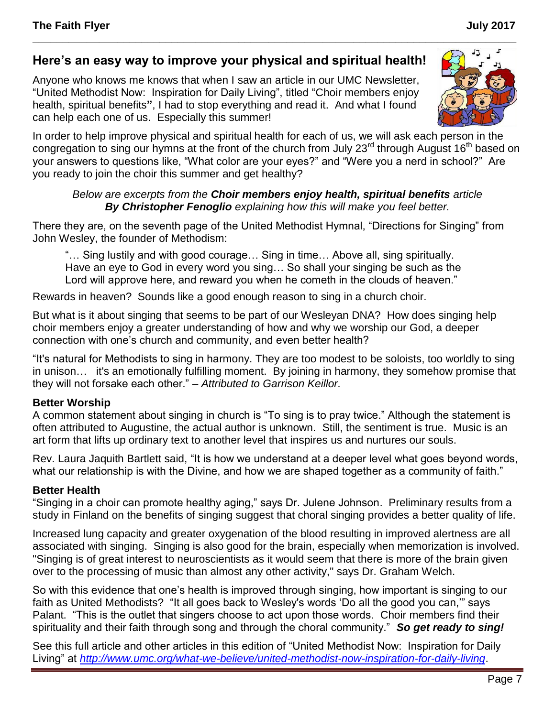### **Here's an easy way to improve your physical and spiritual health!**

Anyone who knows me knows that when I saw an article in our UMC Newsletter, "United Methodist Now: Inspiration for Daily Living", titled "Choir members enjoy health, spiritual benefits**"**, I had to stop everything and read it. And what I found can help each one of us. Especially this summer!



**\_\_\_\_\_\_\_\_\_\_\_\_\_\_\_\_\_\_\_\_\_\_\_\_\_\_\_\_\_\_\_\_\_\_\_\_\_\_\_\_\_\_\_\_\_\_\_\_\_\_\_\_\_\_\_\_\_\_\_\_\_\_\_\_\_\_\_\_\_\_\_\_\_\_\_\_\_\_\_\_**

*Below are excerpts from the Choir members enjoy health, spiritual benefits article By Christopher Fenoglio explaining how this will make you feel better.*

There they are, on the seventh page of the United Methodist Hymnal, "Directions for Singing" from John Wesley, the founder of Methodism:

"… Sing lustily and with good courage… Sing in time… Above all, sing spiritually. Have an eye to God in every word you sing… So shall your singing be such as the Lord will approve here, and reward you when he cometh in the clouds of heaven."

Rewards in heaven? Sounds like a good enough reason to sing in a church choir.

But what is it about singing that seems to be part of our Wesleyan DNA? How does singing help choir members enjoy a greater understanding of how and why we worship our God, a deeper connection with one's church and community, and even better health?

"It's natural for Methodists to sing in harmony. They are too modest to be soloists, too worldly to sing in unison… it's an emotionally fulfilling moment. By joining in harmony, they somehow promise that they will not forsake each other." – *Attributed to Garrison Keillor.*

### **Better Worship**

A common statement about singing in church is "To sing is to pray twice." Although the statement is often attributed to Augustine, the actual author is unknown. Still, the sentiment is true. Music is an art form that lifts up ordinary text to another level that inspires us and nurtures our souls.

Rev. Laura Jaquith Bartlett said, "It is how we understand at a deeper level what goes beyond words, what our relationship is with the Divine, and how we are shaped together as a community of faith."

#### **Better Health**

"Singing in a choir can promote healthy aging," says Dr. Julene Johnson. Preliminary results from a study in Finland on the benefits of singing suggest that choral singing provides a better quality of life.

Increased lung capacity and greater oxygenation of the blood resulting in improved alertness are all associated with singing. Singing is also good for the brain, especially when memorization is involved. "Singing is of great interest to neuroscientists as it would seem that there is more of the brain given over to the processing of music than almost any other activity," says Dr. Graham Welch.

So with this evidence that one's health is improved through singing, how important is singing to our faith as United Methodists? "It all goes back to Wesley's words 'Do all the good you can,'" says Palant. "This is the outlet that singers choose to act upon those words. Choir members find their spirituality and their faith through song and through the choral community." *So get ready to sing!*

See this full article and other articles in this edition of "United Methodist Now: Inspiration for Daily Living" at *<http://www.umc.org/what-we-believe/united-methodist-now-inspiration-for-daily-living>*.